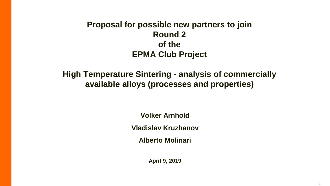## **Proposal for possible new partners to join Round 2 of the EPMA Club Project**

**High Temperature Sintering - analysis of commercially available alloys (processes and properties)**

**Volker Arnhold**

**Vladislav Kruzhanov**

**Alberto Molinari**

**April 9, 2019**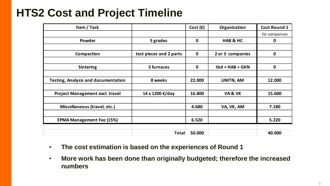## **HTS2 Cost and Project Timeline**

| Item / Task                                |                         | Cost $(\epsilon)$ | Organization        | Cost Round 1   |
|--------------------------------------------|-------------------------|-------------------|---------------------|----------------|
|                                            |                         |                   |                     | for comparison |
| Powder                                     | 5 grades                | $\mathbf{0}$      | <b>HAB &amp; HC</b> | 0              |
|                                            |                         |                   |                     |                |
| Compaction                                 | test pieces and 2 parts | 0                 | 2 or 3 companies    | $\mathbf 0$    |
|                                            |                         |                   |                     |                |
| <b>Sintering</b>                           | 3 furnaces              | 0                 | tbd + HAB + GKN     | 0              |
|                                            |                         |                   |                     |                |
| <b>Testing, Analysis and documentation</b> | 8 weeks                 | 22.000            | UNITN, AM           | 12.000         |
|                                            |                         |                   |                     |                |
| Project Management excl. travel            | 14 x 1200 €/day         | 16.800            | VA& VK              | 15.600         |
|                                            |                         |                   |                     |                |
| Miscellaneous (travel, etc.)               |                         | 4.680             | VA, VK, AM          | 7.180          |
|                                            |                         |                   |                     |                |
| <b>EPMA Management Fee (15%)</b>           |                         | 6.520             |                     | 5.220          |
|                                            |                         |                   |                     |                |
|                                            | Total                   | 50.000            |                     | 40.000         |

- **The cost estimation is based on the experiences of Round 1**
- **More work has been done than originally budgeted; therefore the increased numbers**